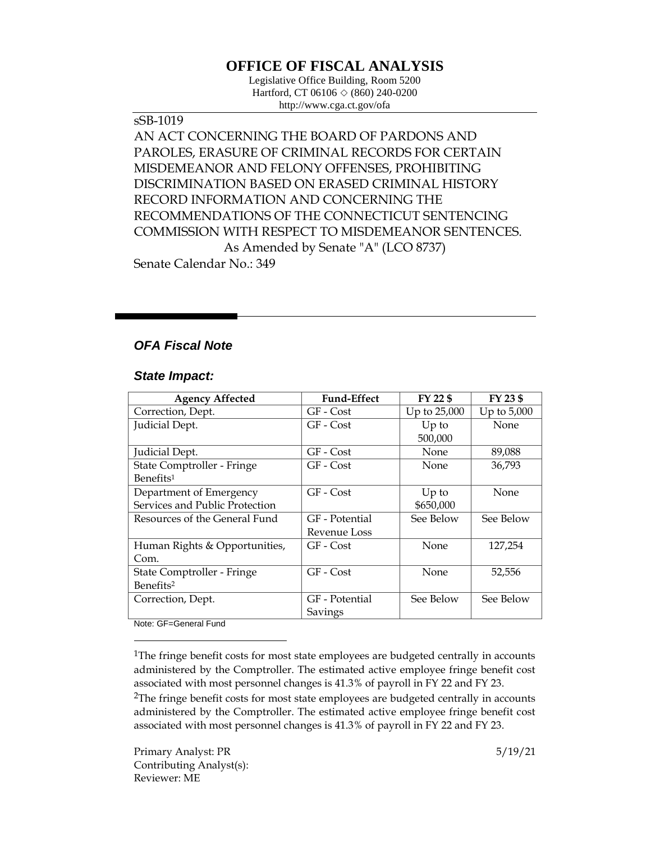# **OFFICE OF FISCAL ANALYSIS**

Legislative Office Building, Room 5200 Hartford, CT 06106  $\Diamond$  (860) 240-0200 http://www.cga.ct.gov/ofa

sSB-1019 AN ACT CONCERNING THE BOARD OF PARDONS AND PAROLES, ERASURE OF CRIMINAL RECORDS FOR CERTAIN MISDEMEANOR AND FELONY OFFENSES, PROHIBITING DISCRIMINATION BASED ON ERASED CRIMINAL HISTORY RECORD INFORMATION AND CONCERNING THE RECOMMENDATIONS OF THE CONNECTICUT SENTENCING COMMISSION WITH RESPECT TO MISDEMEANOR SENTENCES. As Amended by Senate "A" (LCO 8737) Senate Calendar No.: 349

## *OFA Fiscal Note*

### *State Impact:*

| <b>Agency Affected</b>         | <b>Fund-Effect</b> | FY 22 \$     | FY 23 \$      |
|--------------------------------|--------------------|--------------|---------------|
| Correction, Dept.              | GF - Cost          | Up to 25,000 | Up to $5,000$ |
| Judicial Dept.                 | GF - Cost          | $Up$ to      | None          |
|                                |                    | 500,000      |               |
| Judicial Dept.                 | GF - Cost          | None         | 89,088        |
| State Comptroller - Fringe     | GF - Cost          | None         | 36,793        |
| Benefits <sup>1</sup>          |                    |              |               |
| Department of Emergency        | GF - Cost          | $Up$ to      | None          |
| Services and Public Protection |                    | \$650,000    |               |
| Resources of the General Fund  | GF - Potential     | See Below    | See Below     |
|                                | Revenue Loss       |              |               |
| Human Rights & Opportunities,  | GF - Cost          | None         | 127,254       |
| Com.                           |                    |              |               |
| State Comptroller - Fringe     | GF - Cost          | None         | 52,556        |
| Benefits <sup>2</sup>          |                    |              |               |
| Correction, Dept.              | GF - Potential     | See Below    | See Below     |
|                                | Savings            |              |               |

Note: GF=General Fund

 $\overline{a}$ 

<sup>&</sup>lt;sup>1</sup>The fringe benefit costs for most state employees are budgeted centrally in accounts administered by the Comptroller. The estimated active employee fringe benefit cost associated with most personnel changes is 41.3% of payroll in FY 22 and FY 23.

 $2$ The fringe benefit costs for most state employees are budgeted centrally in accounts administered by the Comptroller. The estimated active employee fringe benefit cost associated with most personnel changes is 41.3% of payroll in FY 22 and FY 23.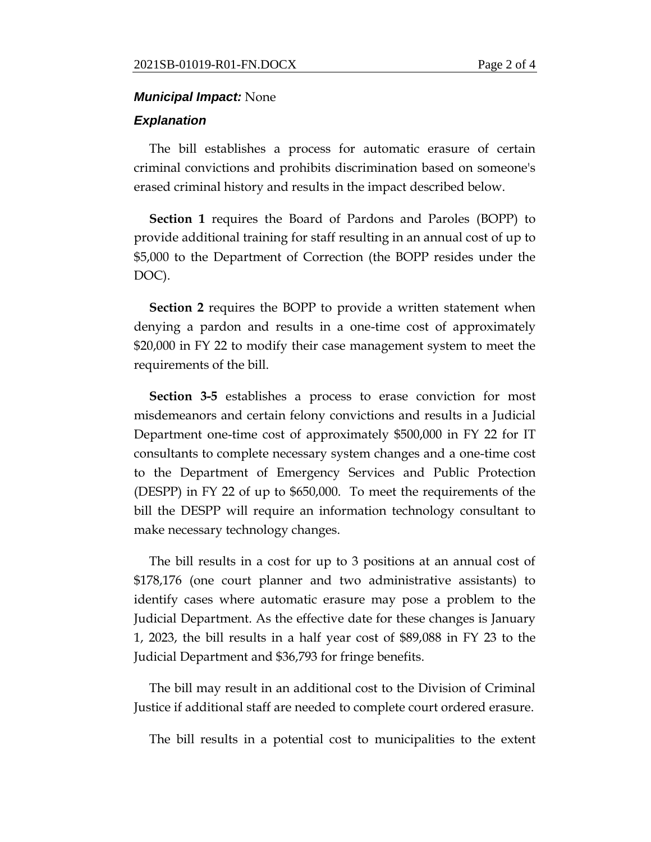#### *Municipal Impact:* None

#### *Explanation*

The bill establishes a process for automatic erasure of certain criminal convictions and prohibits discrimination based on someone's erased criminal history and results in the impact described below.

**Section 1** requires the Board of Pardons and Paroles (BOPP) to provide additional training for staff resulting in an annual cost of up to \$5,000 to the Department of Correction (the BOPP resides under the DOC).

**Section 2** requires the BOPP to provide a written statement when denying a pardon and results in a one-time cost of approximately \$20,000 in FY 22 to modify their case management system to meet the requirements of the bill.

**Section 3-5** establishes a process to erase conviction for most misdemeanors and certain felony convictions and results in a Judicial Department one-time cost of approximately \$500,000 in FY 22 for IT consultants to complete necessary system changes and a one-time cost to the Department of Emergency Services and Public Protection (DESPP) in FY 22 of up to \$650,000. To meet the requirements of the bill the DESPP will require an information technology consultant to make necessary technology changes.

The bill results in a cost for up to 3 positions at an annual cost of \$178,176 (one court planner and two administrative assistants) to identify cases where automatic erasure may pose a problem to the Judicial Department. As the effective date for these changes is January 1, 2023, the bill results in a half year cost of \$89,088 in FY 23 to the Judicial Department and \$36,793 for fringe benefits.

The bill may result in an additional cost to the Division of Criminal Justice if additional staff are needed to complete court ordered erasure.

The bill results in a potential cost to municipalities to the extent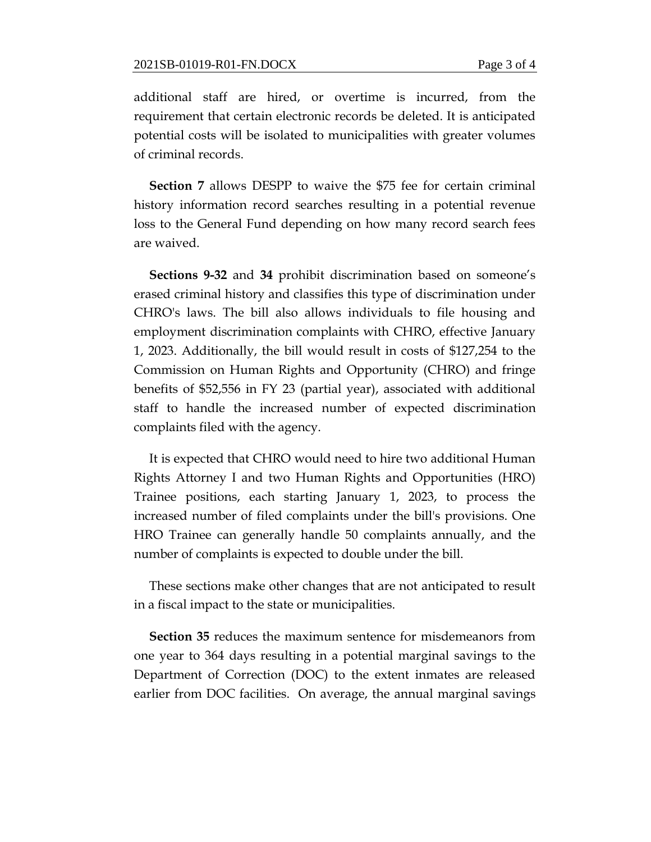additional staff are hired, or overtime is incurred, from the requirement that certain electronic records be deleted. It is anticipated potential costs will be isolated to municipalities with greater volumes of criminal records.

**Section 7** allows DESPP to waive the \$75 fee for certain criminal history information record searches resulting in a potential revenue loss to the General Fund depending on how many record search fees are waived.

**Sections 9-32** and **34** prohibit discrimination based on someone's erased criminal history and classifies this type of discrimination under CHRO's laws. The bill also allows individuals to file housing and employment discrimination complaints with CHRO, effective January 1, 2023. Additionally, the bill would result in costs of \$127,254 to the Commission on Human Rights and Opportunity (CHRO) and fringe benefits of \$52,556 in FY 23 (partial year), associated with additional staff to handle the increased number of expected discrimination complaints filed with the agency.

It is expected that CHRO would need to hire two additional Human Rights Attorney I and two Human Rights and Opportunities (HRO) Trainee positions, each starting January 1, 2023, to process the increased number of filed complaints under the bill's provisions. One HRO Trainee can generally handle 50 complaints annually, and the number of complaints is expected to double under the bill.

These sections make other changes that are not anticipated to result in a fiscal impact to the state or municipalities.

**Section 35** reduces the maximum sentence for misdemeanors from one year to 364 days resulting in a potential marginal savings to the Department of Correction (DOC) to the extent inmates are released earlier from DOC facilities. On average, the annual marginal savings